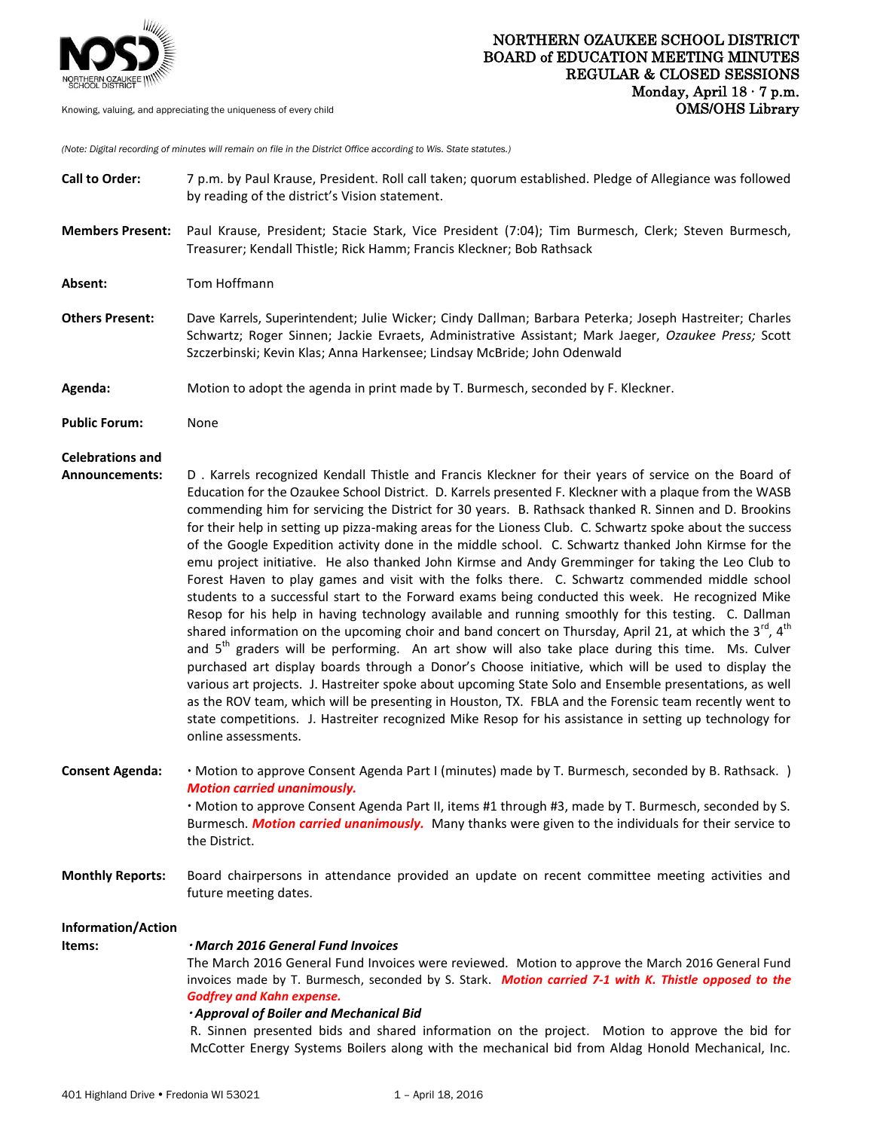

Knowing, valuing, and appreciating the uniqueness of every child

*(Note: Digital recording of minutes will remain on file in the District Office according to Wis. State statutes.)*

| <b>Call to Order:</b>        | 7 p.m. by Paul Krause, President. Roll call taken; quorum established. Pledge of Allegiance was followed<br>by reading of the district's Vision statement.                                                                                                                                                                                                                                                                                                                                                                                                                                                                                                                                                                                                                                                                                                                                                                                                                                                                                                                                                                                                                                                                                                                                                                                                                                                                                                                                                                                                                                                                                                            |
|------------------------------|-----------------------------------------------------------------------------------------------------------------------------------------------------------------------------------------------------------------------------------------------------------------------------------------------------------------------------------------------------------------------------------------------------------------------------------------------------------------------------------------------------------------------------------------------------------------------------------------------------------------------------------------------------------------------------------------------------------------------------------------------------------------------------------------------------------------------------------------------------------------------------------------------------------------------------------------------------------------------------------------------------------------------------------------------------------------------------------------------------------------------------------------------------------------------------------------------------------------------------------------------------------------------------------------------------------------------------------------------------------------------------------------------------------------------------------------------------------------------------------------------------------------------------------------------------------------------------------------------------------------------------------------------------------------------|
| <b>Members Present:</b>      | Paul Krause, President; Stacie Stark, Vice President (7:04); Tim Burmesch, Clerk; Steven Burmesch,<br>Treasurer; Kendall Thistle; Rick Hamm; Francis Kleckner; Bob Rathsack                                                                                                                                                                                                                                                                                                                                                                                                                                                                                                                                                                                                                                                                                                                                                                                                                                                                                                                                                                                                                                                                                                                                                                                                                                                                                                                                                                                                                                                                                           |
| Absent:                      | Tom Hoffmann                                                                                                                                                                                                                                                                                                                                                                                                                                                                                                                                                                                                                                                                                                                                                                                                                                                                                                                                                                                                                                                                                                                                                                                                                                                                                                                                                                                                                                                                                                                                                                                                                                                          |
| <b>Others Present:</b>       | Dave Karrels, Superintendent; Julie Wicker; Cindy Dallman; Barbara Peterka; Joseph Hastreiter; Charles<br>Schwartz; Roger Sinnen; Jackie Evraets, Administrative Assistant; Mark Jaeger, Ozaukee Press; Scott<br>Szczerbinski; Kevin Klas; Anna Harkensee; Lindsay McBride; John Odenwald                                                                                                                                                                                                                                                                                                                                                                                                                                                                                                                                                                                                                                                                                                                                                                                                                                                                                                                                                                                                                                                                                                                                                                                                                                                                                                                                                                             |
| Agenda:                      | Motion to adopt the agenda in print made by T. Burmesch, seconded by F. Kleckner.                                                                                                                                                                                                                                                                                                                                                                                                                                                                                                                                                                                                                                                                                                                                                                                                                                                                                                                                                                                                                                                                                                                                                                                                                                                                                                                                                                                                                                                                                                                                                                                     |
| <b>Public Forum:</b>         | None                                                                                                                                                                                                                                                                                                                                                                                                                                                                                                                                                                                                                                                                                                                                                                                                                                                                                                                                                                                                                                                                                                                                                                                                                                                                                                                                                                                                                                                                                                                                                                                                                                                                  |
| <b>Celebrations and</b>      |                                                                                                                                                                                                                                                                                                                                                                                                                                                                                                                                                                                                                                                                                                                                                                                                                                                                                                                                                                                                                                                                                                                                                                                                                                                                                                                                                                                                                                                                                                                                                                                                                                                                       |
| <b>Announcements:</b>        | D. Karrels recognized Kendall Thistle and Francis Kleckner for their years of service on the Board of<br>Education for the Ozaukee School District. D. Karrels presented F. Kleckner with a plaque from the WASB<br>commending him for servicing the District for 30 years. B. Rathsack thanked R. Sinnen and D. Brookins<br>for their help in setting up pizza-making areas for the Lioness Club. C. Schwartz spoke about the success<br>of the Google Expedition activity done in the middle school. C. Schwartz thanked John Kirmse for the<br>emu project initiative. He also thanked John Kirmse and Andy Gremminger for taking the Leo Club to<br>Forest Haven to play games and visit with the folks there. C. Schwartz commended middle school<br>students to a successful start to the Forward exams being conducted this week. He recognized Mike<br>Resop for his help in having technology available and running smoothly for this testing. C. Dallman<br>shared information on the upcoming choir and band concert on Thursday, April 21, at which the $3^{rd}$ , $4^{th}$<br>and 5 <sup>th</sup> graders will be performing. An art show will also take place during this time. Ms. Culver<br>purchased art display boards through a Donor's Choose initiative, which will be used to display the<br>various art projects. J. Hastreiter spoke about upcoming State Solo and Ensemble presentations, as well<br>as the ROV team, which will be presenting in Houston, TX. FBLA and the Forensic team recently went to<br>state competitions. J. Hastreiter recognized Mike Resop for his assistance in setting up technology for<br>online assessments. |
| <b>Consent Agenda:</b>       | · Motion to approve Consent Agenda Part I (minutes) made by T. Burmesch, seconded by B. Rathsack. )<br><b>Motion carried unanimously.</b><br>· Motion to approve Consent Agenda Part II, items #1 through #3, made by T. Burmesch, seconded by S.<br>Burmesch. Motion carried unanimously. Many thanks were given to the individuals for their service to<br>the District.                                                                                                                                                                                                                                                                                                                                                                                                                                                                                                                                                                                                                                                                                                                                                                                                                                                                                                                                                                                                                                                                                                                                                                                                                                                                                            |
| <b>Monthly Reports:</b>      | Board chairpersons in attendance provided an update on recent committee meeting activities and<br>future meeting dates.                                                                                                                                                                                                                                                                                                                                                                                                                                                                                                                                                                                                                                                                                                                                                                                                                                                                                                                                                                                                                                                                                                                                                                                                                                                                                                                                                                                                                                                                                                                                               |
| Information/Action<br>Items: | · March 2016 General Fund Invoices<br>The March 2016 General Fund Invoices were reviewed. Motion to approve the March 2016 General Fund<br>invoices made by T. Burmesch, seconded by S. Stark. Motion carried 7-1 with K. Thistle opposed to the<br><b>Godfrey and Kahn expense.</b><br>· Approval of Boiler and Mechanical Bid<br>R. Sinnen presented bids and shared information on the project. Motion to approve the bid for<br>McCotter Energy Systems Boilers along with the mechanical bid from Aldag Honold Mechanical, Inc.                                                                                                                                                                                                                                                                                                                                                                                                                                                                                                                                                                                                                                                                                                                                                                                                                                                                                                                                                                                                                                                                                                                                  |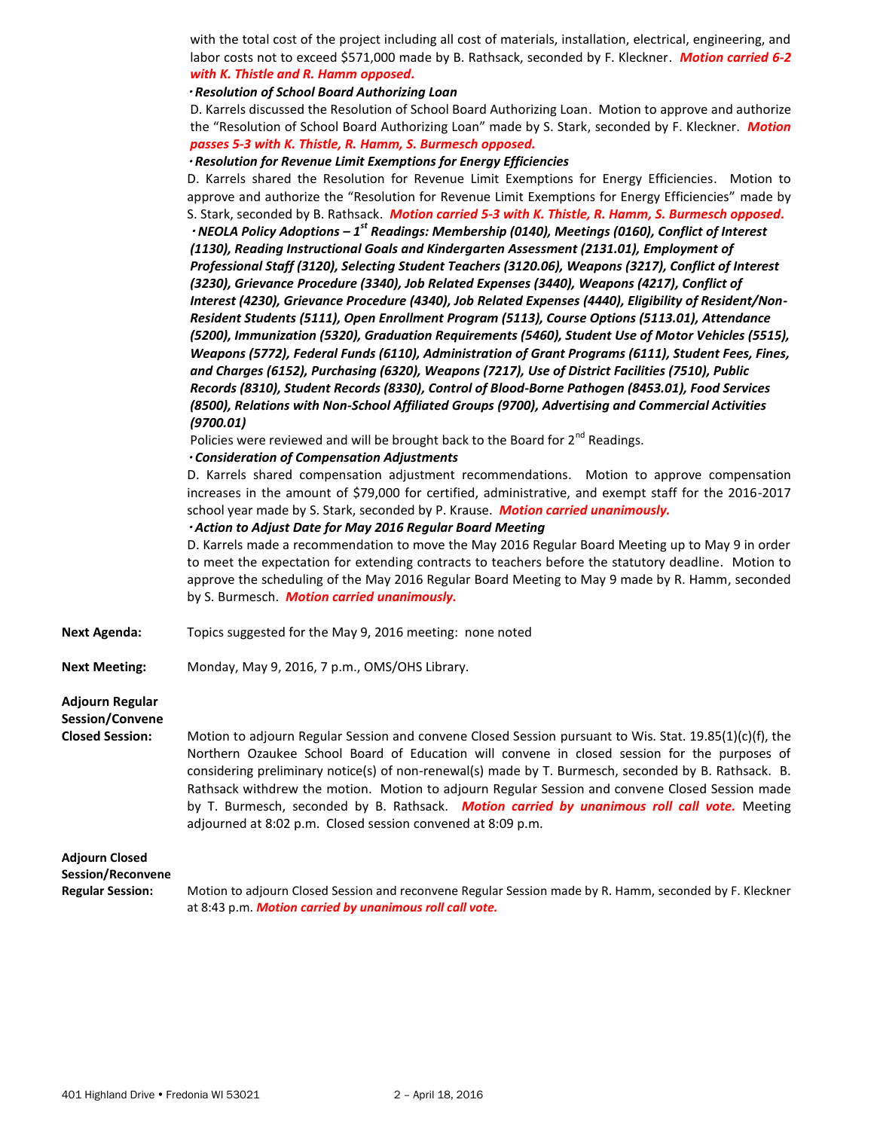with the total cost of the project including all cost of materials, installation, electrical, engineering, and labor costs not to exceed \$571,000 made by B. Rathsack, seconded by F. Kleckner. *Motion carried 6-2 with K. Thistle and R. Hamm opposed.*

### *Resolution of School Board Authorizing Loan*

D. Karrels discussed the Resolution of School Board Authorizing Loan. Motion to approve and authorize the "Resolution of School Board Authorizing Loan" made by S. Stark, seconded by F. Kleckner. *Motion passes 5-3 with K. Thistle, R. Hamm, S. Burmesch opposed.*

 *Resolution for Revenue Limit Exemptions for Energy Efficiencies* D. Karrels shared the Resolution for Revenue Limit Exemptions for Energy Efficiencies. Motion to approve and authorize the "Resolution for Revenue Limit Exemptions for Energy Efficiencies" made by S. Stark, seconded by B. Rathsack. *Motion carried 5-3 with K. Thistle, R. Hamm, S. Burmesch opposed. NEOLA Policy Adoptions – 1st Readings: Membership (0140), Meetings (0160), Conflict of Interest (1130), Reading Instructional Goals and Kindergarten Assessment (2131.01), Employment of Professional Staff (3120), Selecting Student Teachers (3120.06), Weapons (3217), Conflict of Interest (3230), Grievance Procedure (3340), Job Related Expenses (3440), Weapons (4217), Conflict of Interest (4230), Grievance Procedure (4340), Job Related Expenses (4440), Eligibility of Resident/Non-Resident Students (5111), Open Enrollment Program (5113), Course Options (5113.01), Attendance (5200), Immunization (5320), Graduation Requirements (5460), Student Use of Motor Vehicles (5515), Weapons (5772), Federal Funds (6110), Administration of Grant Programs (6111), Student Fees, Fines, and Charges (6152), Purchasing (6320), Weapons (7217), Use of District Facilities (7510), Public Records (8310), Student Records (8330), Control of Blood-Borne Pathogen (8453.01), Food Services (8500), Relations with Non-School Affiliated Groups (9700), Advertising and Commercial Activities (9700.01)* 

Policies were reviewed and will be brought back to the Board for  $2<sup>nd</sup>$  Readings.

### *Consideration of Compensation Adjustments*

 D. Karrels shared compensation adjustment recommendations. Motion to approve compensation increases in the amount of \$79,000 for certified, administrative, and exempt staff for the 2016-2017 school year made by S. Stark, seconded by P. Krause. *Motion carried unanimously.* 

## *Action to Adjust Date for May 2016 Regular Board Meeting*

 D. Karrels made a recommendation to move the May 2016 Regular Board Meeting up to May 9 in order to meet the expectation for extending contracts to teachers before the statutory deadline. Motion to approve the scheduling of the May 2016 Regular Board Meeting to May 9 made by R. Hamm, seconded by S. Burmesch. *Motion carried unanimously.*

**Next Agenda:** Topics suggested for the May 9, 2016 meeting: none noted

**Next Meeting:** Monday, May 9, 2016, 7 p.m., OMS/OHS Library.

## **Adjourn Regular Session/Convene**

**Closed Session:** Motion to adjourn Regular Session and convene Closed Session pursuant to Wis. Stat. 19.85(1)(c)(f), the Northern Ozaukee School Board of Education will convene in closed session for the purposes of considering preliminary notice(s) of non-renewal(s) made by T. Burmesch, seconded by B. Rathsack. B. Rathsack withdrew the motion. Motion to adjourn Regular Session and convene Closed Session made by T. Burmesch, seconded by B. Rathsack. *Motion carried by unanimous roll call vote.* Meeting adjourned at 8:02 p.m. Closed session convened at 8:09 p.m.

# **Adjourn Closed Session/Reconvene**

**Regular Session:** Motion to adjourn Closed Session and reconvene Regular Session made by R. Hamm, seconded by F. Kleckner at 8:43 p.m. *Motion carried by unanimous roll call vote.*